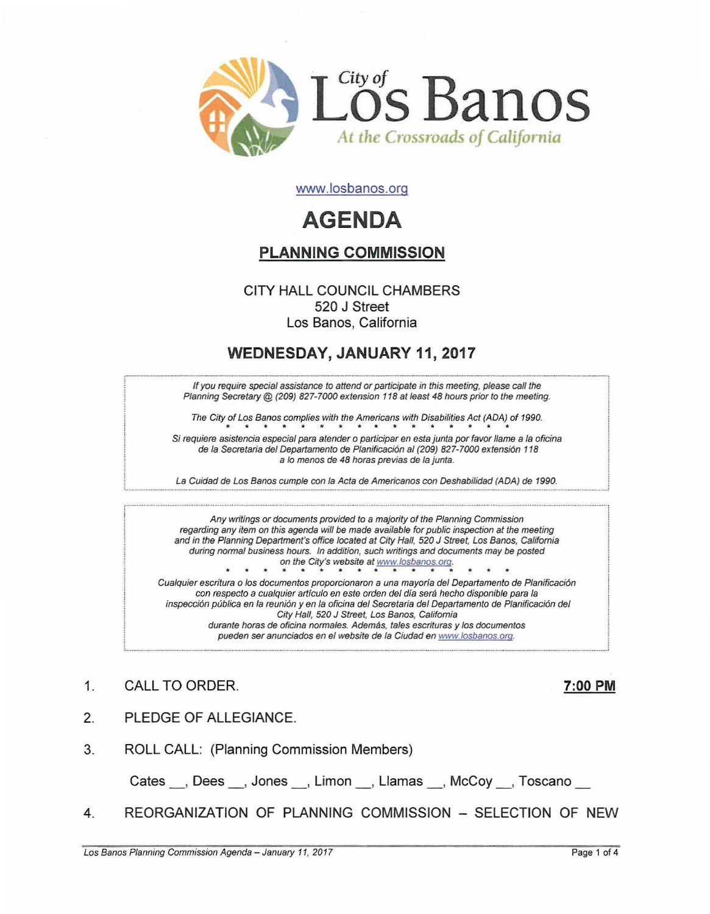

www.losbanos.org

# **AGENDA**

# PLANNING COMMISSION

## CITY HALL COUNCIL CHAMBERS 520 J Street Los Banos, California

## WEDNESDAY, JANUARY 11, 2017

If you require special assistance to attend or participate in this meeting, please call the Planning Secretary @ (209) 827-7000 extension 118 at least 48 hours prior to the meeting.

The City of Los Banos complies with the Americans with Disabilities Act (ADA) of 1990. of Los Banos complies with the Americans with Disabilities Act (ADA)

Si requiere asistencia especial para atender o participar en esta junta por favor llame a la oficina de la Secretaria del Departamento de Planificación al (209) 827-7000 extensión 118 a lo menos de 48 horas previas de la junta.

La Cuidad de Los Banos cumple con la Acta de Americanos con Deshabilidad (ADA) de 1990.

Any writings or documents provided to a majority of the Planning Commission regarding any item on this agenda will be made available for public inspection at the meeting and in the Planning Department's office located at City Hall, 520 J Street, Los Banos, California during normal business hours. In addition, such writings and documents may be posted on the City's website at www.losbanos.org Cualquier escritura 0 los documentos proporcionaron a una mayoria del Departamento de Planificaci6n con respecto a cualquier artículo en este orden del día será hecho disponible para la inspección pública en la reunión y en la oficina del Secretaria del Departamento de Planificación del

City Hall, 520 J Street. Los Banos, California durante horas de oficina normales. Además, tales escrituras y los documentos pueden ser anunciados en el website de la Ciudad en www.losbanos.oro,

- 1. CALL TO ORDER. 200 PM
- 2. PLEDGE OF ALLEGIANCE.
- 3. ROLL CALL: (Planning Commission Members)

Cates , Dees , Jones , Limon , Llamas , McCoy , Toscano

4. REORGANIZATION OF PLANNING COMMISSION - SELECTION OF NEW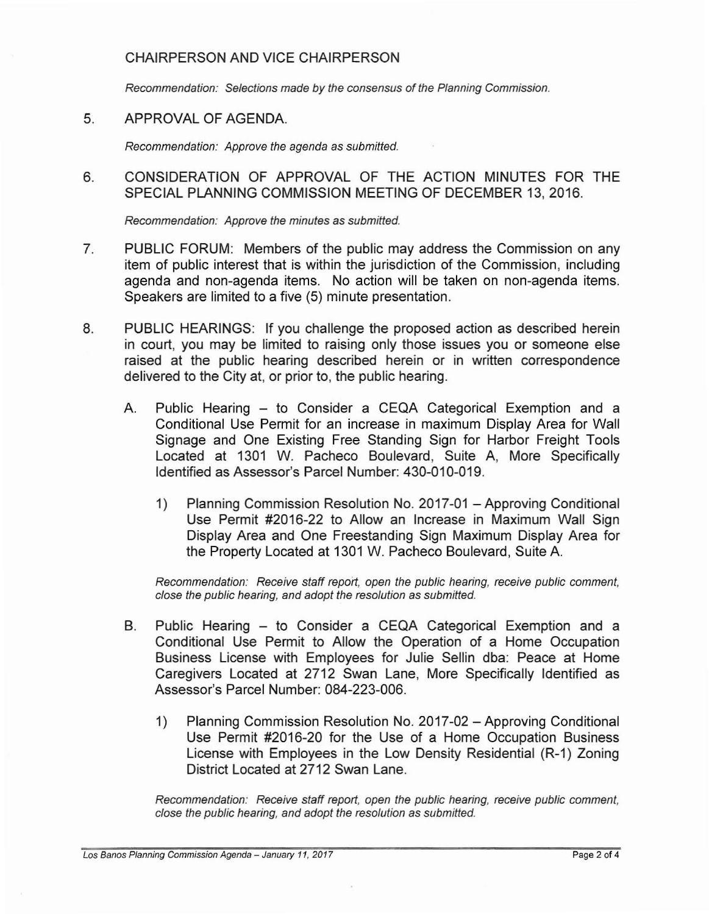### CHAIRPERSON AND VICE CHAIRPERSON

Recommendation: Selections made by the consensus of the Planning Commission.

5. APPROVAL OF AGENDA.

Recommendation: Approve the agenda as submitted.

6. CONSIDERATION OF APPROVAL OF THE ACTION MINUTES FOR THE SPECIAL PLANNING COMMISSION MEETING OF DECEMBER 13, 2016.

Recommendation: Approve the minutes as submitted.

- 7. PUBLIC FORUM: Members of the public may address the Commission on any item of public interest that is within the jurisdiction of the Commission, including agenda and non-agenda items. No action will be taken on non-agenda items. Speakers are limited to a five (5) minute presentation.
- 8. PUBLIC HEARINGS: If you challenge the proposed action as described herein in court, you may be limited to raising only those issues you or someone else raised at the public hearing described herein or in written correspondence delivered to the City at, or prior to, the public hearing.
	- A. Public Hearing to Consider a CEQA Categorical Exemption and a Conditional Use Permit for an increase in maximum Display Area for Wall Signage and One Existing Free Standing Sign for Harbor Freight Tools Located at 1301 W. Pacheco Boulevard, Suite A, More Specifically Identified as Assessor's Parcel Number: 430-010-019.
		- 1) Planning Commission Resolution No. 2017-01 Approving Conditional Use Permit #2016-22 to Allow an Increase in Maximum Wall Sign Display Area and One Freestanding Sign Maximum Display Area for the Property Located at 1301 W. Pacheco Boulevard, Suite A.

Recommendation: Receive staff report, open the public hearing, receive public comment, close the public hearing, and adopt the resolution as submitted.

- B. Public Hearing to Consider a CEQA Categorical Exemption and a Conditional Use Permit to Allow the Operation of a Home Occupation Business License with Employees for Julie Sellin dba: Peace at Home Caregivers Located at 2712 Swan Lane, More Specifically Identified as Assessor's Parcel Number: 084-223-006.
	- 1) Planning Commission Resolution No. 2017-02 Approving Conditional Use Permit #2016-20 for the Use of a Home Occupation Business License with Employees in the Low Density Residential (R-1) Zoning District Located at 2712 Swan Lane.

Recommendation: Receive staff report, open the public hearing, receive public comment, close the public hearing, and adopt the resolution as submitted.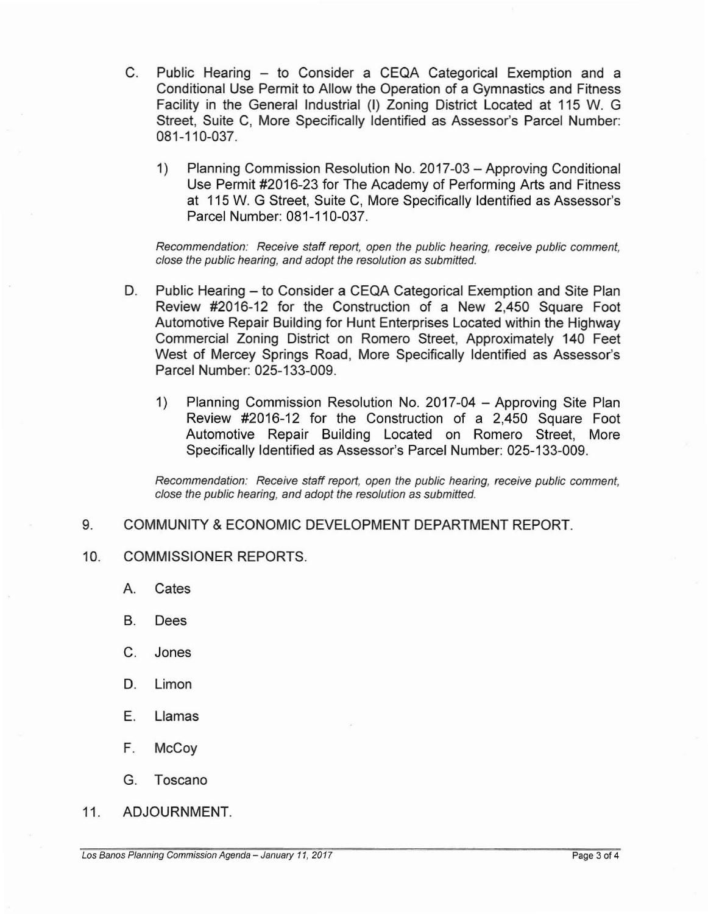- C. Public Hearing to Consider a CEQA Categorical Exemption and a Conditional Use Permit to Allow the Operation of a Gymnastics and Fitness Facility in the General Industrial (I) Zoning District Located at 115 W. G Street, Suite C, More Specifically Identified as Assessor's Parcel Number: 081-110-037.
	- 1) Planning Commission Resolution No. 2017-03 Approving Conditional Use Permit #2016-23 for The Academy of Performing Arts and Fitness at 115 W. G Street, Suite C, More Specifically Identified as Assessor's Parcel Number: 081-110-037.

Recommendation: Receive staff report, open the public hearing, receive public comment, close the public hearing, and adopt the resolution as submitted.

- D. Public Hearing to Consider a CEQA Categorical Exemption and Site Plan Review #2016-12 for the Construction of a New 2,450 Square Foot Automotive Repair Building for Hunt Enterprises Located within the Highway Commercial Zoning District on Romero Street, Approximately 140 Feet West of Mercey Springs Road, More Specifically Identified as Assessor's Parcel Number: 025-133-009.
	- 1) Planning Commission Resolution No. 2017-04 Approving Site Plan Review #2016-12 for the Construction of a 2,450 Square Foot Automotive Repair Building Located on Romero Street, More Specifically Identified as Assessor's Parcel Number: 025-133-009.

Recommendation: Receive staff report, open the public hearing, receive public comment, close the public hearing, and adopt the resolution as submitted.

#### 9. COMMUNITY & ECONOMIC DEVELOPMENT DEPARTMENT REPORT.

#### 10. COMMISSIONER REPORTS.

- A. Cates
- B. Dees
- C. Jones
- D. Limon
- E. Llamas
- F. McCoy
- G. Toscano
- 11. ADJOURNMENT.